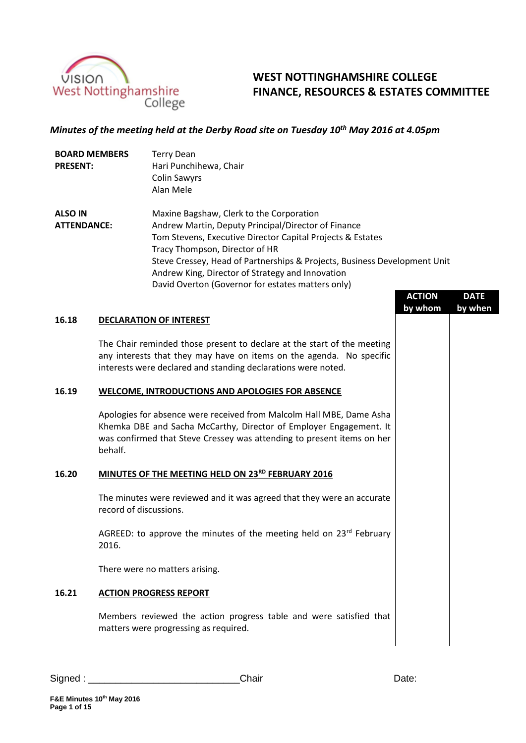

# **WEST NOTTINGHAMSHIRE COLLEGE FINANCE, RESOURCES & ESTATES COMMITTEE**

## *Minutes of the meeting held at the Derby Road site on Tuesday 10 th May 2016 at 4.05pm*

| <b>BOARD MEMBERS</b><br><b>PRESENT:</b> |  | <b>Terry Dean</b><br>Hari Punchihewa, Chair<br><b>Colin Sawyrs</b>                                                                                                                                                                                                                                                                                                                    |               |             |  |
|-----------------------------------------|--|---------------------------------------------------------------------------------------------------------------------------------------------------------------------------------------------------------------------------------------------------------------------------------------------------------------------------------------------------------------------------------------|---------------|-------------|--|
|                                         |  | Alan Mele                                                                                                                                                                                                                                                                                                                                                                             |               |             |  |
| <b>ALSO IN</b><br><b>ATTENDANCE:</b>    |  | Maxine Bagshaw, Clerk to the Corporation<br>Andrew Martin, Deputy Principal/Director of Finance<br>Tom Stevens, Executive Director Capital Projects & Estates<br>Tracy Thompson, Director of HR<br>Steve Cressey, Head of Partnerships & Projects, Business Development Unit<br>Andrew King, Director of Strategy and Innovation<br>David Overton (Governor for estates matters only) |               |             |  |
|                                         |  |                                                                                                                                                                                                                                                                                                                                                                                       | <b>ACTION</b> | <b>DATE</b> |  |
|                                         |  |                                                                                                                                                                                                                                                                                                                                                                                       | by whom       | by when     |  |
| 16.18                                   |  | <b>DECLARATION OF INTEREST</b>                                                                                                                                                                                                                                                                                                                                                        |               |             |  |
|                                         |  | The Chair reminded those present to declare at the start of the meeting<br>any interests that they may have on items on the agenda. No specific<br>interests were declared and standing declarations were noted.                                                                                                                                                                      |               |             |  |
| 16.19                                   |  | <b>WELCOME, INTRODUCTIONS AND APOLOGIES FOR ABSENCE</b>                                                                                                                                                                                                                                                                                                                               |               |             |  |
|                                         |  | Apologies for absence were received from Malcolm Hall MRE, Dame Asha                                                                                                                                                                                                                                                                                                                  |               |             |  |

Apologies for absence were received from Malcolm Hall MBE, Dame Asha Khemka DBE and Sacha McCarthy, Director of Employer Engagement. It was confirmed that Steve Cressey was attending to present items on her behalf.

#### **16.20 MINUTES OF THE MEETING HELD ON 23RD FEBRUARY 2016**

The minutes were reviewed and it was agreed that they were an accurate record of discussions.

AGREED: to approve the minutes of the meeting held on 23rd February 2016.

There were no matters arising.

#### **16.21 ACTION PROGRESS REPORT**

Members reviewed the action progress table and were satisfied that matters were progressing as required.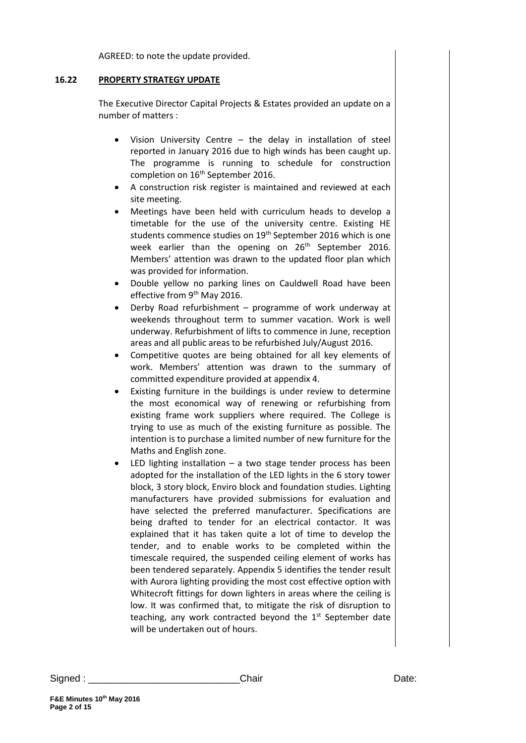AGREED: to note the update provided.

## **16.22 PROPERTY STRATEGY UPDATE**

The Executive Director Capital Projects & Estates provided an update on a number of matters :

- Vision University Centre the delay in installation of steel reported in January 2016 due to high winds has been caught up. The programme is running to schedule for construction completion on 16<sup>th</sup> September 2016.
- A construction risk register is maintained and reviewed at each site meeting.
- Meetings have been held with curriculum heads to develop a timetable for the use of the university centre. Existing HE students commence studies on 19<sup>th</sup> September 2016 which is one week earlier than the opening on 26<sup>th</sup> September 2016. Members' attention was drawn to the updated floor plan which was provided for information.
- Double yellow no parking lines on Cauldwell Road have been effective from 9<sup>th</sup> May 2016.
- Derby Road refurbishment programme of work underway at weekends throughout term to summer vacation. Work is well underway. Refurbishment of lifts to commence in June, reception areas and all public areas to be refurbished July/August 2016.
- Competitive quotes are being obtained for all key elements of work. Members' attention was drawn to the summary of committed expenditure provided at appendix 4.
- Existing furniture in the buildings is under review to determine the most economical way of renewing or refurbishing from existing frame work suppliers where required. The College is trying to use as much of the existing furniture as possible. The intention is to purchase a limited number of new furniture for the Maths and English zone.
- LED lighting installation  $-$  a two stage tender process has been adopted for the installation of the LED lights in the 6 story tower block, 3 story block, Enviro block and foundation studies. Lighting manufacturers have provided submissions for evaluation and have selected the preferred manufacturer. Specifications are being drafted to tender for an electrical contactor. It was explained that it has taken quite a lot of time to develop the tender, and to enable works to be completed within the timescale required, the suspended ceiling element of works has been tendered separately. Appendix 5 identifies the tender result with Aurora lighting providing the most cost effective option with Whitecroft fittings for down lighters in areas where the ceiling is low. It was confirmed that, to mitigate the risk of disruption to teaching, any work contracted beyond the 1<sup>st</sup> September date will be undertaken out of hours.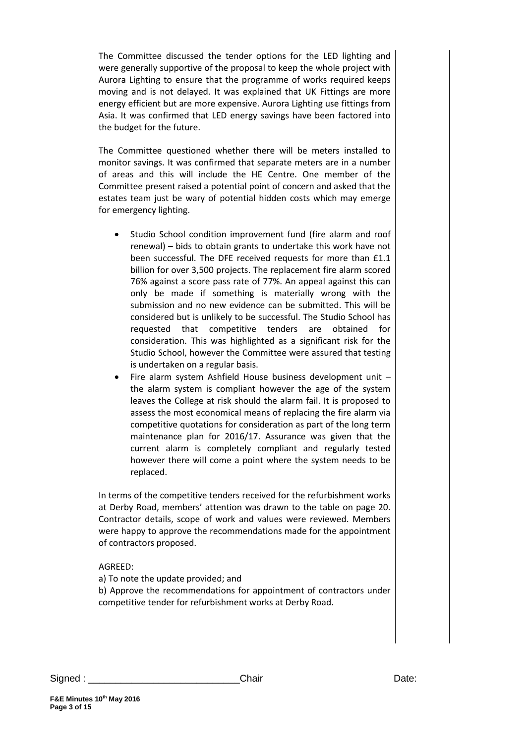The Committee discussed the tender options for the LED lighting and were generally supportive of the proposal to keep the whole project with Aurora Lighting to ensure that the programme of works required keeps moving and is not delayed. It was explained that UK Fittings are more energy efficient but are more expensive. Aurora Lighting use fittings from Asia. It was confirmed that LED energy savings have been factored into the budget for the future.

The Committee questioned whether there will be meters installed to monitor savings. It was confirmed that separate meters are in a number of areas and this will include the HE Centre. One member of the Committee present raised a potential point of concern and asked that the estates team just be wary of potential hidden costs which may emerge for emergency lighting.

- Studio School condition improvement fund (fire alarm and roof renewal) – bids to obtain grants to undertake this work have not been successful. The DFE received requests for more than £1.1 billion for over 3,500 projects. The replacement fire alarm scored 76% against a score pass rate of 77%. An appeal against this can only be made if something is materially wrong with the submission and no new evidence can be submitted. This will be considered but is unlikely to be successful. The Studio School has requested that competitive tenders are obtained for consideration. This was highlighted as a significant risk for the Studio School, however the Committee were assured that testing is undertaken on a regular basis.
- Fire alarm system Ashfield House business development unit the alarm system is compliant however the age of the system leaves the College at risk should the alarm fail. It is proposed to assess the most economical means of replacing the fire alarm via competitive quotations for consideration as part of the long term maintenance plan for 2016/17. Assurance was given that the current alarm is completely compliant and regularly tested however there will come a point where the system needs to be replaced.

In terms of the competitive tenders received for the refurbishment works at Derby Road, members' attention was drawn to the table on page 20. Contractor details, scope of work and values were reviewed. Members were happy to approve the recommendations made for the appointment of contractors proposed.

#### AGREED:

a) To note the update provided; and

b) Approve the recommendations for appointment of contractors under competitive tender for refurbishment works at Derby Road.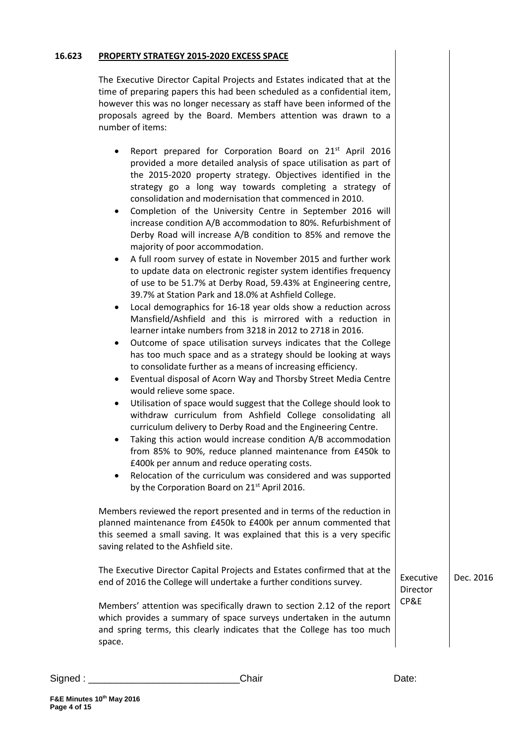#### **16.623 PROPERTY STRATEGY 2015-2020 EXCESS SPACE**

The Executive Director Capital Projects and Estates indicated that at the time of preparing papers this had been scheduled as a confidential item, however this was no longer necessary as staff have been informed of the proposals agreed by the Board. Members attention was drawn to a number of items:

- Report prepared for Corporation Board on 21<sup>st</sup> April 2016 provided a more detailed analysis of space utilisation as part of the 2015-2020 property strategy. Objectives identified in the strategy go a long way towards completing a strategy of consolidation and modernisation that commenced in 2010.
- Completion of the University Centre in September 2016 will increase condition A/B accommodation to 80%. Refurbishment of Derby Road will increase A/B condition to 85% and remove the majority of poor accommodation.
- A full room survey of estate in November 2015 and further work to update data on electronic register system identifies frequency of use to be 51.7% at Derby Road, 59.43% at Engineering centre, 39.7% at Station Park and 18.0% at Ashfield College.
- Local demographics for 16-18 year olds show a reduction across Mansfield/Ashfield and this is mirrored with a reduction in learner intake numbers from 3218 in 2012 to 2718 in 2016.
- Outcome of space utilisation surveys indicates that the College has too much space and as a strategy should be looking at ways to consolidate further as a means of increasing efficiency.
- Eventual disposal of Acorn Way and Thorsby Street Media Centre would relieve some space.
- Utilisation of space would suggest that the College should look to withdraw curriculum from Ashfield College consolidating all curriculum delivery to Derby Road and the Engineering Centre.
- Taking this action would increase condition A/B accommodation from 85% to 90%, reduce planned maintenance from £450k to £400k per annum and reduce operating costs.
- Relocation of the curriculum was considered and was supported by the Corporation Board on 21<sup>st</sup> April 2016.

Members reviewed the report presented and in terms of the reduction in planned maintenance from £450k to £400k per annum commented that this seemed a small saving. It was explained that this is a very specific saving related to the Ashfield site.

The Executive Director Capital Projects and Estates confirmed that at the end of 2016 the College will undertake a further conditions survey.

Members' attention was specifically drawn to section 2.12 of the report which provides a summary of space surveys undertaken in the autumn and spring terms, this clearly indicates that the College has too much space.

Executive Director CP&E Dec. 2016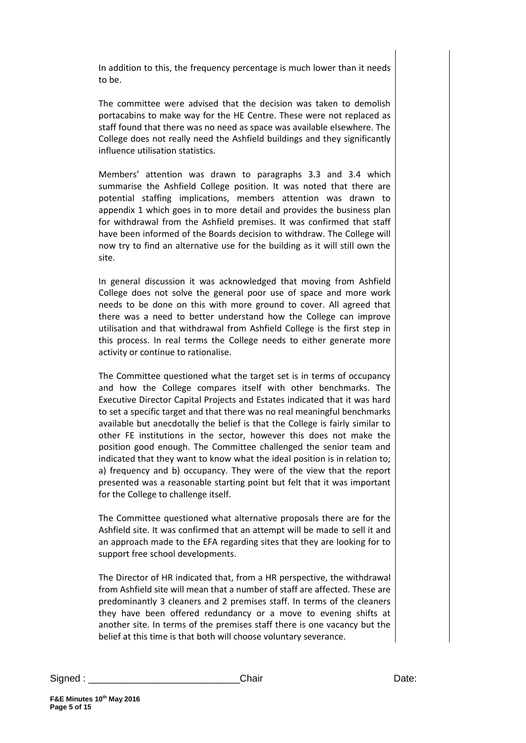In addition to this, the frequency percentage is much lower than it needs to be.

The committee were advised that the decision was taken to demolish portacabins to make way for the HE Centre. These were not replaced as staff found that there was no need as space was available elsewhere. The College does not really need the Ashfield buildings and they significantly influence utilisation statistics.

Members' attention was drawn to paragraphs 3.3 and 3.4 which summarise the Ashfield College position. It was noted that there are potential staffing implications, members attention was drawn to appendix 1 which goes in to more detail and provides the business plan for withdrawal from the Ashfield premises. It was confirmed that staff have been informed of the Boards decision to withdraw. The College will now try to find an alternative use for the building as it will still own the site.

In general discussion it was acknowledged that moving from Ashfield College does not solve the general poor use of space and more work needs to be done on this with more ground to cover. All agreed that there was a need to better understand how the College can improve utilisation and that withdrawal from Ashfield College is the first step in this process. In real terms the College needs to either generate more activity or continue to rationalise.

The Committee questioned what the target set is in terms of occupancy and how the College compares itself with other benchmarks. The Executive Director Capital Projects and Estates indicated that it was hard to set a specific target and that there was no real meaningful benchmarks available but anecdotally the belief is that the College is fairly similar to other FE institutions in the sector, however this does not make the position good enough. The Committee challenged the senior team and indicated that they want to know what the ideal position is in relation to; a) frequency and b) occupancy. They were of the view that the report presented was a reasonable starting point but felt that it was important for the College to challenge itself.

The Committee questioned what alternative proposals there are for the Ashfield site. It was confirmed that an attempt will be made to sell it and an approach made to the EFA regarding sites that they are looking for to support free school developments.

The Director of HR indicated that, from a HR perspective, the withdrawal from Ashfield site will mean that a number of staff are affected. These are predominantly 3 cleaners and 2 premises staff. In terms of the cleaners they have been offered redundancy or a move to evening shifts at another site. In terms of the premises staff there is one vacancy but the belief at this time is that both will choose voluntary severance.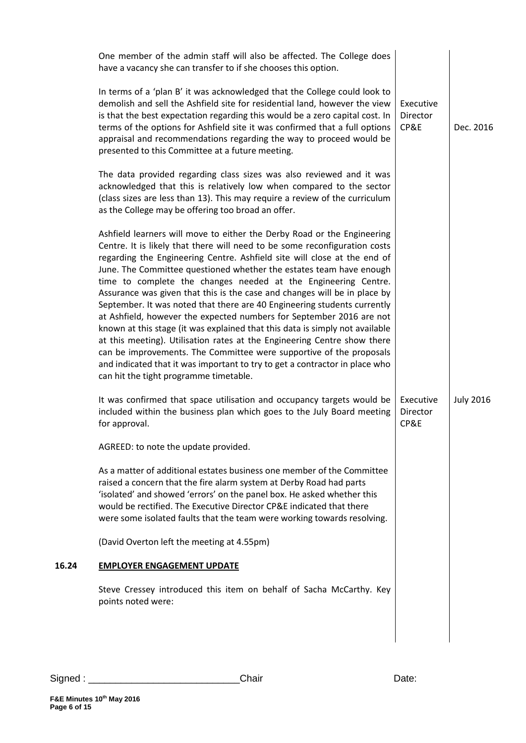|       | One member of the admin staff will also be affected. The College does<br>have a vacancy she can transfer to if she chooses this option.                                                                                                                                                                                                                                                                                                                                                                                                                                                                                                                                                                                                                                                                                                                                                                                                                                 |                               |                  |
|-------|-------------------------------------------------------------------------------------------------------------------------------------------------------------------------------------------------------------------------------------------------------------------------------------------------------------------------------------------------------------------------------------------------------------------------------------------------------------------------------------------------------------------------------------------------------------------------------------------------------------------------------------------------------------------------------------------------------------------------------------------------------------------------------------------------------------------------------------------------------------------------------------------------------------------------------------------------------------------------|-------------------------------|------------------|
|       | In terms of a 'plan B' it was acknowledged that the College could look to<br>demolish and sell the Ashfield site for residential land, however the view<br>is that the best expectation regarding this would be a zero capital cost. In<br>terms of the options for Ashfield site it was confirmed that a full options<br>appraisal and recommendations regarding the way to proceed would be<br>presented to this Committee at a future meeting.                                                                                                                                                                                                                                                                                                                                                                                                                                                                                                                       | Executive<br>Director<br>CP&E | Dec. 2016        |
|       | The data provided regarding class sizes was also reviewed and it was<br>acknowledged that this is relatively low when compared to the sector<br>(class sizes are less than 13). This may require a review of the curriculum<br>as the College may be offering too broad an offer.                                                                                                                                                                                                                                                                                                                                                                                                                                                                                                                                                                                                                                                                                       |                               |                  |
|       | Ashfield learners will move to either the Derby Road or the Engineering<br>Centre. It is likely that there will need to be some reconfiguration costs<br>regarding the Engineering Centre. Ashfield site will close at the end of<br>June. The Committee questioned whether the estates team have enough<br>time to complete the changes needed at the Engineering Centre.<br>Assurance was given that this is the case and changes will be in place by<br>September. It was noted that there are 40 Engineering students currently<br>at Ashfield, however the expected numbers for September 2016 are not<br>known at this stage (it was explained that this data is simply not available<br>at this meeting). Utilisation rates at the Engineering Centre show there<br>can be improvements. The Committee were supportive of the proposals<br>and indicated that it was important to try to get a contractor in place who<br>can hit the tight programme timetable. |                               |                  |
|       | It was confirmed that space utilisation and occupancy targets would be<br>included within the business plan which goes to the July Board meeting<br>for approval.                                                                                                                                                                                                                                                                                                                                                                                                                                                                                                                                                                                                                                                                                                                                                                                                       | Executive<br>Director<br>CP&E | <b>July 2016</b> |
|       | AGREED: to note the update provided.                                                                                                                                                                                                                                                                                                                                                                                                                                                                                                                                                                                                                                                                                                                                                                                                                                                                                                                                    |                               |                  |
|       | As a matter of additional estates business one member of the Committee<br>raised a concern that the fire alarm system at Derby Road had parts<br>'isolated' and showed 'errors' on the panel box. He asked whether this<br>would be rectified. The Executive Director CP&E indicated that there<br>were some isolated faults that the team were working towards resolving.                                                                                                                                                                                                                                                                                                                                                                                                                                                                                                                                                                                              |                               |                  |
|       | (David Overton left the meeting at 4.55pm)                                                                                                                                                                                                                                                                                                                                                                                                                                                                                                                                                                                                                                                                                                                                                                                                                                                                                                                              |                               |                  |
| 16.24 | <b>EMPLOYER ENGAGEMENT UPDATE</b>                                                                                                                                                                                                                                                                                                                                                                                                                                                                                                                                                                                                                                                                                                                                                                                                                                                                                                                                       |                               |                  |
|       | Steve Cressey introduced this item on behalf of Sacha McCarthy. Key<br>points noted were:                                                                                                                                                                                                                                                                                                                                                                                                                                                                                                                                                                                                                                                                                                                                                                                                                                                                               |                               |                  |
|       |                                                                                                                                                                                                                                                                                                                                                                                                                                                                                                                                                                                                                                                                                                                                                                                                                                                                                                                                                                         |                               |                  |
|       |                                                                                                                                                                                                                                                                                                                                                                                                                                                                                                                                                                                                                                                                                                                                                                                                                                                                                                                                                                         |                               |                  |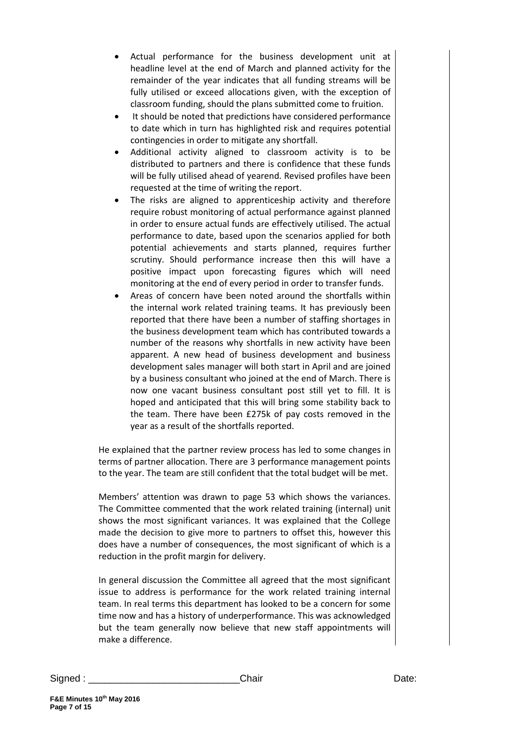- Actual performance for the business development unit at headline level at the end of March and planned activity for the remainder of the year indicates that all funding streams will be fully utilised or exceed allocations given, with the exception of classroom funding, should the plans submitted come to fruition.
- It should be noted that predictions have considered performance to date which in turn has highlighted risk and requires potential contingencies in order to mitigate any shortfall.
- Additional activity aligned to classroom activity is to be distributed to partners and there is confidence that these funds will be fully utilised ahead of yearend. Revised profiles have been requested at the time of writing the report.
- The risks are aligned to apprenticeship activity and therefore require robust monitoring of actual performance against planned in order to ensure actual funds are effectively utilised. The actual performance to date, based upon the scenarios applied for both potential achievements and starts planned, requires further scrutiny. Should performance increase then this will have a positive impact upon forecasting figures which will need monitoring at the end of every period in order to transfer funds.
- Areas of concern have been noted around the shortfalls within the internal work related training teams. It has previously been reported that there have been a number of staffing shortages in the business development team which has contributed towards a number of the reasons why shortfalls in new activity have been apparent. A new head of business development and business development sales manager will both start in April and are joined by a business consultant who joined at the end of March. There is now one vacant business consultant post still yet to fill. It is hoped and anticipated that this will bring some stability back to the team. There have been £275k of pay costs removed in the year as a result of the shortfalls reported.

He explained that the partner review process has led to some changes in terms of partner allocation. There are 3 performance management points to the year. The team are still confident that the total budget will be met.

Members' attention was drawn to page 53 which shows the variances. The Committee commented that the work related training (internal) unit shows the most significant variances. It was explained that the College made the decision to give more to partners to offset this, however this does have a number of consequences, the most significant of which is a reduction in the profit margin for delivery.

In general discussion the Committee all agreed that the most significant issue to address is performance for the work related training internal team. In real terms this department has looked to be a concern for some time now and has a history of underperformance. This was acknowledged but the team generally now believe that new staff appointments will make a difference.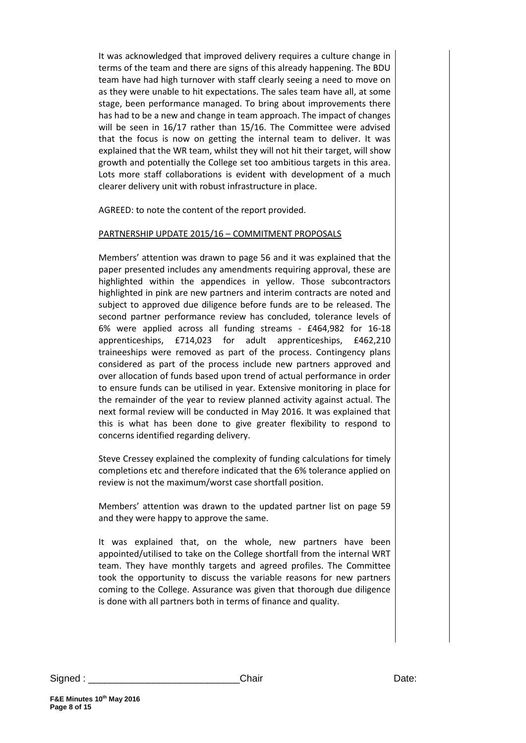It was acknowledged that improved delivery requires a culture change in terms of the team and there are signs of this already happening. The BDU team have had high turnover with staff clearly seeing a need to move on as they were unable to hit expectations. The sales team have all, at some stage, been performance managed. To bring about improvements there has had to be a new and change in team approach. The impact of changes will be seen in 16/17 rather than 15/16. The Committee were advised that the focus is now on getting the internal team to deliver. It was explained that the WR team, whilst they will not hit their target, will show growth and potentially the College set too ambitious targets in this area. Lots more staff collaborations is evident with development of a much clearer delivery unit with robust infrastructure in place.

AGREED: to note the content of the report provided.

#### PARTNERSHIP UPDATE 2015/16 – COMMITMENT PROPOSALS

Members' attention was drawn to page 56 and it was explained that the paper presented includes any amendments requiring approval, these are highlighted within the appendices in yellow. Those subcontractors highlighted in pink are new partners and interim contracts are noted and subject to approved due diligence before funds are to be released. The second partner performance review has concluded, tolerance levels of 6% were applied across all funding streams - £464,982 for 16-18 apprenticeships, £714,023 for adult apprenticeships, £462,210 traineeships were removed as part of the process. Contingency plans considered as part of the process include new partners approved and over allocation of funds based upon trend of actual performance in order to ensure funds can be utilised in year. Extensive monitoring in place for the remainder of the year to review planned activity against actual. The next formal review will be conducted in May 2016. It was explained that this is what has been done to give greater flexibility to respond to concerns identified regarding delivery.

Steve Cressey explained the complexity of funding calculations for timely completions etc and therefore indicated that the 6% tolerance applied on review is not the maximum/worst case shortfall position.

Members' attention was drawn to the updated partner list on page 59 and they were happy to approve the same.

It was explained that, on the whole, new partners have been appointed/utilised to take on the College shortfall from the internal WRT team. They have monthly targets and agreed profiles. The Committee took the opportunity to discuss the variable reasons for new partners coming to the College. Assurance was given that thorough due diligence is done with all partners both in terms of finance and quality.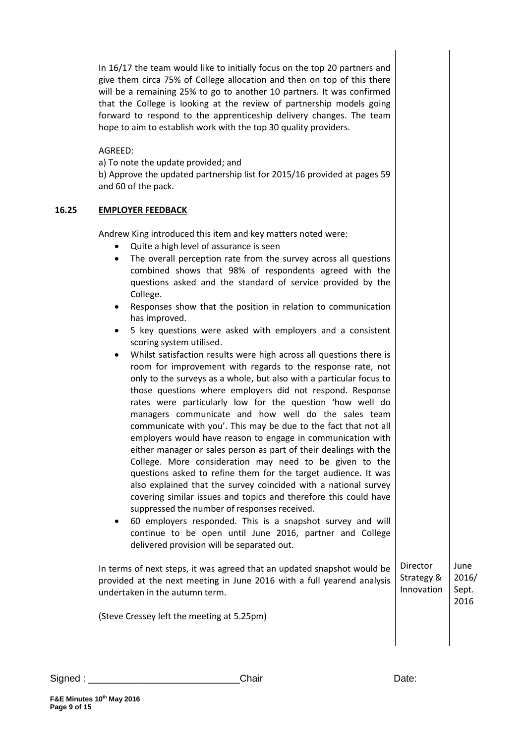|       | In 16/17 the team would like to initially focus on the top 20 partners and<br>give them circa 75% of College allocation and then on top of this there<br>will be a remaining 25% to go to another 10 partners. It was confirmed<br>that the College is looking at the review of partnership models going<br>forward to respond to the apprenticeship delivery changes. The team<br>hope to aim to establish work with the top 30 quality providers.<br>AGREED:<br>a) To note the update provided; and<br>b) Approve the updated partnership list for 2015/16 provided at pages 59<br>and 60 of the pack.                                                                                                                                                                                                                                                                                                                                                                                                                                                                                                                                                                                                                                                                                                                                                                                                                                                                                                                                                                                                                                                                           |                          |                        |
|-------|------------------------------------------------------------------------------------------------------------------------------------------------------------------------------------------------------------------------------------------------------------------------------------------------------------------------------------------------------------------------------------------------------------------------------------------------------------------------------------------------------------------------------------------------------------------------------------------------------------------------------------------------------------------------------------------------------------------------------------------------------------------------------------------------------------------------------------------------------------------------------------------------------------------------------------------------------------------------------------------------------------------------------------------------------------------------------------------------------------------------------------------------------------------------------------------------------------------------------------------------------------------------------------------------------------------------------------------------------------------------------------------------------------------------------------------------------------------------------------------------------------------------------------------------------------------------------------------------------------------------------------------------------------------------------------|--------------------------|------------------------|
| 16.25 | <b>EMPLOYER FEEDBACK</b>                                                                                                                                                                                                                                                                                                                                                                                                                                                                                                                                                                                                                                                                                                                                                                                                                                                                                                                                                                                                                                                                                                                                                                                                                                                                                                                                                                                                                                                                                                                                                                                                                                                           |                          |                        |
|       | Andrew King introduced this item and key matters noted were:<br>Quite a high level of assurance is seen<br>The overall perception rate from the survey across all questions<br>٠<br>combined shows that 98% of respondents agreed with the<br>questions asked and the standard of service provided by the<br>College.<br>Responses show that the position in relation to communication<br>٠<br>has improved.<br>5 key questions were asked with employers and a consistent<br>scoring system utilised.<br>Whilst satisfaction results were high across all questions there is<br>room for improvement with regards to the response rate, not<br>only to the surveys as a whole, but also with a particular focus to<br>those questions where employers did not respond. Response<br>rates were particularly low for the question 'how well do<br>managers communicate and how well do the sales team<br>communicate with you'. This may be due to the fact that not all<br>employers would have reason to engage in communication with<br>either manager or sales person as part of their dealings with the<br>College. More consideration may need to be given to the<br>questions asked to refine them for the target audience. It was<br>also explained that the survey coincided with a national survey<br>covering similar issues and topics and therefore this could have<br>suppressed the number of responses received.<br>60 employers responded. This is a snapshot survey and will<br>continue to be open until June 2016, partner and College<br>delivered provision will be separated out.<br>In terms of next steps, it was agreed that an updated snapshot would be | Director                 | June                   |
|       | provided at the next meeting in June 2016 with a full yearend analysis<br>undertaken in the autumn term.                                                                                                                                                                                                                                                                                                                                                                                                                                                                                                                                                                                                                                                                                                                                                                                                                                                                                                                                                                                                                                                                                                                                                                                                                                                                                                                                                                                                                                                                                                                                                                           | Strategy &<br>Innovation | 2016/<br>Sept.<br>2016 |
|       | (Steve Cressey left the meeting at 5.25pm)                                                                                                                                                                                                                                                                                                                                                                                                                                                                                                                                                                                                                                                                                                                                                                                                                                                                                                                                                                                                                                                                                                                                                                                                                                                                                                                                                                                                                                                                                                                                                                                                                                         |                          |                        |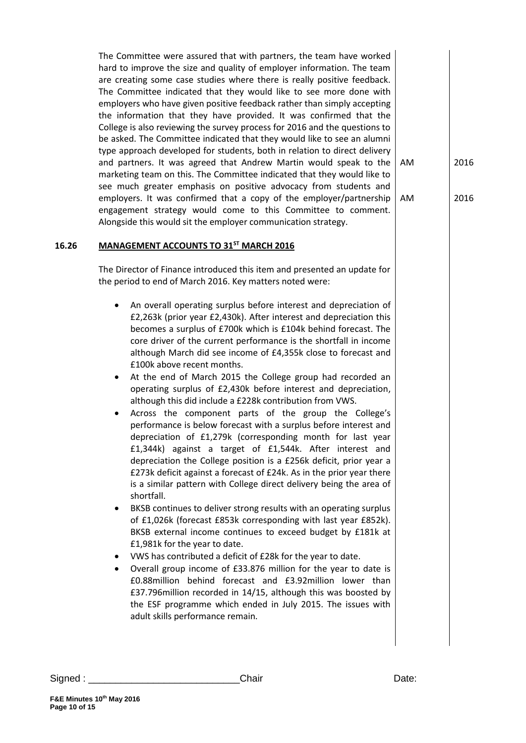The Committee were assured that with partners, the team have worked hard to improve the size and quality of employer information. The team are creating some case studies where there is really positive feedback. The Committee indicated that they would like to see more done with employers who have given positive feedback rather than simply accepting the information that they have provided. It was confirmed that the College is also reviewing the survey process for 2016 and the questions to be asked. The Committee indicated that they would like to see an alumni type approach developed for students, both in relation to direct delivery and partners. It was agreed that Andrew Martin would speak to the marketing team on this. The Committee indicated that they would like to see much greater emphasis on positive advocacy from students and employers. It was confirmed that a copy of the employer/partnership engagement strategy would come to this Committee to comment. Alongside this would sit the employer communication strategy.

## **16.26 MANAGEMENT ACCOUNTS TO 31ST MARCH 2016**

The Director of Finance introduced this item and presented an update for the period to end of March 2016. Key matters noted were:

- An overall operating surplus before interest and depreciation of £2,263k (prior year £2,430k). After interest and depreciation this becomes a surplus of £700k which is £104k behind forecast. The core driver of the current performance is the shortfall in income although March did see income of £4,355k close to forecast and £100k above recent months.
- At the end of March 2015 the College group had recorded an operating surplus of £2,430k before interest and depreciation, although this did include a £228k contribution from VWS.
- Across the component parts of the group the College's performance is below forecast with a surplus before interest and depreciation of £1,279k (corresponding month for last year £1,344k) against a target of £1,544k. After interest and depreciation the College position is a £256k deficit, prior year a £273k deficit against a forecast of £24k. As in the prior year there is a similar pattern with College direct delivery being the area of shortfall.
- BKSB continues to deliver strong results with an operating surplus of £1,026k (forecast £853k corresponding with last year £852k). BKSB external income continues to exceed budget by £181k at £1,981k for the year to date.
- VWS has contributed a deficit of £28k for the year to date.
- Overall group income of £33.876 million for the year to date is £0.88million behind forecast and £3.92million lower than £37.796million recorded in 14/15, although this was boosted by the ESF programme which ended in July 2015. The issues with adult skills performance remain.

**Page 10 of 15**

**F&E Minutes 10th May 2016**

2016

AM

AM

2016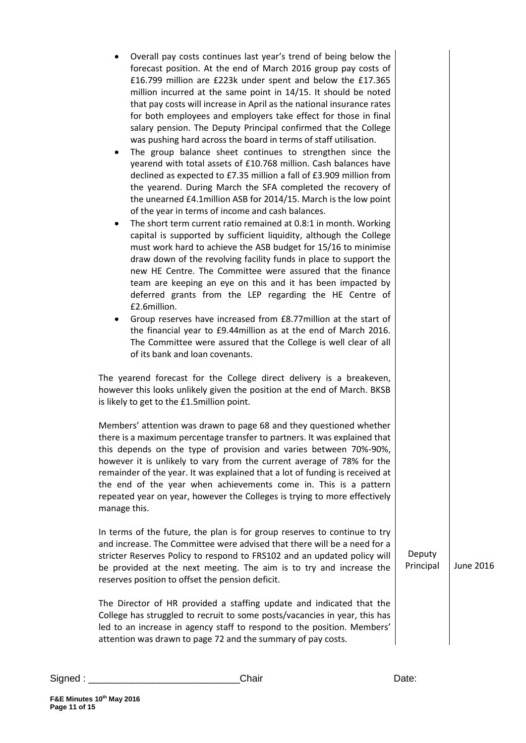| Overall pay costs continues last year's trend of being below the<br>٠<br>forecast position. At the end of March 2016 group pay costs of<br>£16.799 million are £223k under spent and below the £17.365<br>million incurred at the same point in 14/15. It should be noted<br>that pay costs will increase in April as the national insurance rates<br>for both employees and employers take effect for those in final<br>salary pension. The Deputy Principal confirmed that the College<br>was pushing hard across the board in terms of staff utilisation.<br>The group balance sheet continues to strengthen since the<br>٠<br>yearend with total assets of £10.768 million. Cash balances have<br>declined as expected to £7.35 million a fall of £3.909 million from<br>the yearend. During March the SFA completed the recovery of<br>the unearned £4.1 million ASB for 2014/15. March is the low point<br>of the year in terms of income and cash balances.<br>The short term current ratio remained at 0.8:1 in month. Working<br>٠<br>capital is supported by sufficient liquidity, although the College<br>must work hard to achieve the ASB budget for 15/16 to minimise<br>draw down of the revolving facility funds in place to support the<br>new HE Centre. The Committee were assured that the finance<br>team are keeping an eye on this and it has been impacted by<br>deferred grants from the LEP regarding the HE Centre of<br>£2.6million.<br>Group reserves have increased from £8.77 million at the start of<br>the financial year to £9.44 million as at the end of March 2016.<br>The Committee were assured that the College is well clear of all<br>of its bank and loan covenants. |                     |           |
|-----------------------------------------------------------------------------------------------------------------------------------------------------------------------------------------------------------------------------------------------------------------------------------------------------------------------------------------------------------------------------------------------------------------------------------------------------------------------------------------------------------------------------------------------------------------------------------------------------------------------------------------------------------------------------------------------------------------------------------------------------------------------------------------------------------------------------------------------------------------------------------------------------------------------------------------------------------------------------------------------------------------------------------------------------------------------------------------------------------------------------------------------------------------------------------------------------------------------------------------------------------------------------------------------------------------------------------------------------------------------------------------------------------------------------------------------------------------------------------------------------------------------------------------------------------------------------------------------------------------------------------------------------------------------------------------------------------------|---------------------|-----------|
| The yearend forecast for the College direct delivery is a breakeven,<br>however this looks unlikely given the position at the end of March. BKSB<br>is likely to get to the £1.5million point.                                                                                                                                                                                                                                                                                                                                                                                                                                                                                                                                                                                                                                                                                                                                                                                                                                                                                                                                                                                                                                                                                                                                                                                                                                                                                                                                                                                                                                                                                                                  |                     |           |
| Members' attention was drawn to page 68 and they questioned whether<br>there is a maximum percentage transfer to partners. It was explained that<br>this depends on the type of provision and varies between 70%-90%,<br>however it is unlikely to vary from the current average of 78% for the<br>remainder of the year. It was explained that a lot of funding is received at<br>the end of the year when achievements come in. This is a pattern<br>repeated year on year, however the Colleges is trying to more effectively<br>manage this.                                                                                                                                                                                                                                                                                                                                                                                                                                                                                                                                                                                                                                                                                                                                                                                                                                                                                                                                                                                                                                                                                                                                                                |                     |           |
| In terms of the future, the plan is for group reserves to continue to try<br>and increase. The Committee were advised that there will be a need for a<br>stricter Reserves Policy to respond to FRS102 and an updated policy will<br>be provided at the next meeting. The aim is to try and increase the<br>reserves position to offset the pension deficit.                                                                                                                                                                                                                                                                                                                                                                                                                                                                                                                                                                                                                                                                                                                                                                                                                                                                                                                                                                                                                                                                                                                                                                                                                                                                                                                                                    | Deputy<br>Principal | June 2016 |
| The Director of HR provided a staffing update and indicated that the<br>College has struggled to recruit to some posts/vacancies in year, this has<br>led to an increase in agency staff to respond to the position. Members'<br>attention was drawn to page 72 and the summary of pay costs.                                                                                                                                                                                                                                                                                                                                                                                                                                                                                                                                                                                                                                                                                                                                                                                                                                                                                                                                                                                                                                                                                                                                                                                                                                                                                                                                                                                                                   |                     |           |

**Page 11 of 15**

 $\overline{\phantom{a}}$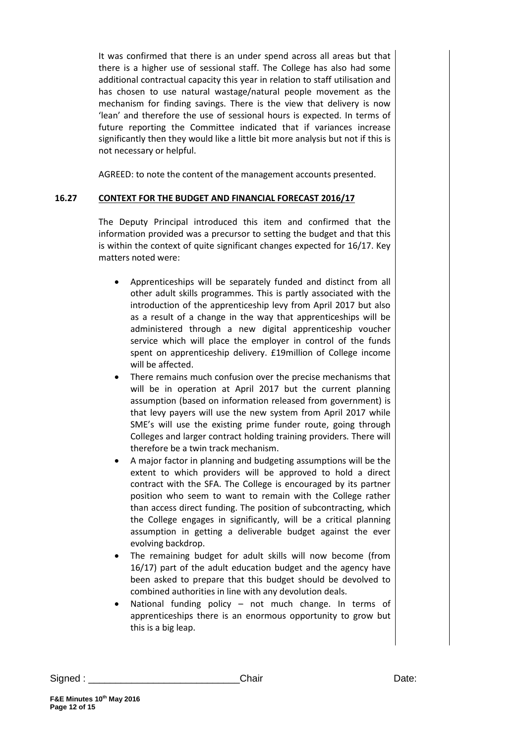It was confirmed that there is an under spend across all areas but that there is a higher use of sessional staff. The College has also had some additional contractual capacity this year in relation to staff utilisation and has chosen to use natural wastage/natural people movement as the mechanism for finding savings. There is the view that delivery is now 'lean' and therefore the use of sessional hours is expected. In terms of future reporting the Committee indicated that if variances increase significantly then they would like a little bit more analysis but not if this is not necessary or helpful.

AGREED: to note the content of the management accounts presented.

## **16.27 CONTEXT FOR THE BUDGET AND FINANCIAL FORECAST 2016/17**

The Deputy Principal introduced this item and confirmed that the information provided was a precursor to setting the budget and that this is within the context of quite significant changes expected for 16/17. Key matters noted were:

- Apprenticeships will be separately funded and distinct from all other adult skills programmes. This is partly associated with the introduction of the apprenticeship levy from April 2017 but also as a result of a change in the way that apprenticeships will be administered through a new digital apprenticeship voucher service which will place the employer in control of the funds spent on apprenticeship delivery. £19million of College income will be affected.
- There remains much confusion over the precise mechanisms that will be in operation at April 2017 but the current planning assumption (based on information released from government) is that levy payers will use the new system from April 2017 while SME's will use the existing prime funder route, going through Colleges and larger contract holding training providers. There will therefore be a twin track mechanism.
- A major factor in planning and budgeting assumptions will be the extent to which providers will be approved to hold a direct contract with the SFA. The College is encouraged by its partner position who seem to want to remain with the College rather than access direct funding. The position of subcontracting, which the College engages in significantly, will be a critical planning assumption in getting a deliverable budget against the ever evolving backdrop.
- The remaining budget for adult skills will now become (from 16/17) part of the adult education budget and the agency have been asked to prepare that this budget should be devolved to combined authorities in line with any devolution deals.
- National funding policy not much change. In terms of apprenticeships there is an enormous opportunity to grow but this is a big leap.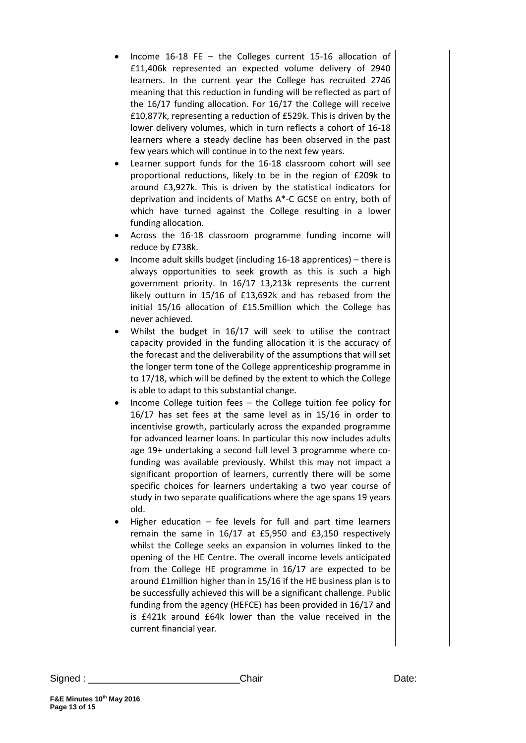- Income 16-18 FE the Colleges current 15-16 allocation of £11,406k represented an expected volume delivery of 2940 learners. In the current year the College has recruited 2746 meaning that this reduction in funding will be reflected as part of the 16/17 funding allocation. For 16/17 the College will receive £10,877k, representing a reduction of £529k. This is driven by the lower delivery volumes, which in turn reflects a cohort of 16-18 learners where a steady decline has been observed in the past few years which will continue in to the next few years.
- Learner support funds for the 16-18 classroom cohort will see proportional reductions, likely to be in the region of £209k to around £3,927k. This is driven by the statistical indicators for deprivation and incidents of Maths A\*-C GCSE on entry, both of which have turned against the College resulting in a lower funding allocation.
- Across the 16-18 classroom programme funding income will reduce by £738k.
- Income adult skills budget (including 16-18 apprentices) there is always opportunities to seek growth as this is such a high government priority. In 16/17 13,213k represents the current likely outturn in 15/16 of £13,692k and has rebased from the initial 15/16 allocation of £15.5million which the College has never achieved.
- Whilst the budget in 16/17 will seek to utilise the contract capacity provided in the funding allocation it is the accuracy of the forecast and the deliverability of the assumptions that will set the longer term tone of the College apprenticeship programme in to 17/18, which will be defined by the extent to which the College is able to adapt to this substantial change.
- Income College tuition fees the College tuition fee policy for 16/17 has set fees at the same level as in 15/16 in order to incentivise growth, particularly across the expanded programme for advanced learner loans. In particular this now includes adults age 19+ undertaking a second full level 3 programme where cofunding was available previously. Whilst this may not impact a significant proportion of learners, currently there will be some specific choices for learners undertaking a two year course of study in two separate qualifications where the age spans 19 years old.
- Higher education fee levels for full and part time learners remain the same in 16/17 at £5,950 and £3,150 respectively whilst the College seeks an expansion in volumes linked to the opening of the HE Centre. The overall income levels anticipated from the College HE programme in 16/17 are expected to be around £1million higher than in 15/16 if the HE business plan is to be successfully achieved this will be a significant challenge. Public funding from the agency (HEFCE) has been provided in 16/17 and is £421k around £64k lower than the value received in the current financial year.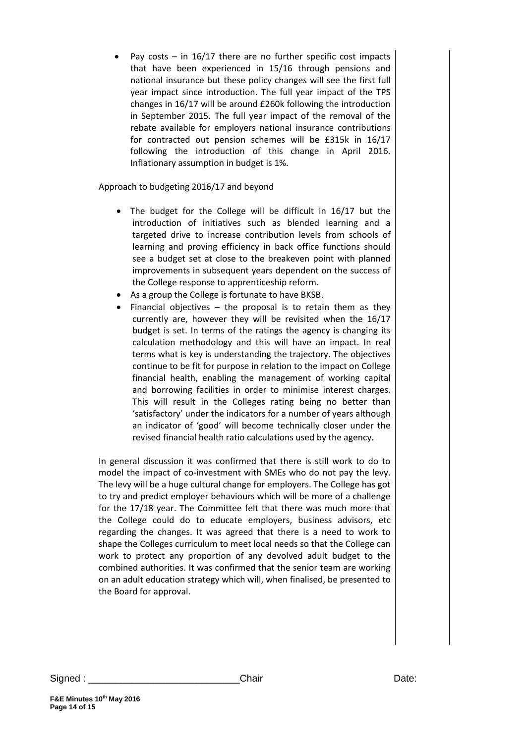Pay costs  $-$  in 16/17 there are no further specific cost impacts that have been experienced in 15/16 through pensions and national insurance but these policy changes will see the first full year impact since introduction. The full year impact of the TPS changes in 16/17 will be around £260k following the introduction in September 2015. The full year impact of the removal of the rebate available for employers national insurance contributions for contracted out pension schemes will be £315k in 16/17 following the introduction of this change in April 2016. Inflationary assumption in budget is 1%.

Approach to budgeting 2016/17 and beyond

- The budget for the College will be difficult in 16/17 but the introduction of initiatives such as blended learning and a targeted drive to increase contribution levels from schools of learning and proving efficiency in back office functions should see a budget set at close to the breakeven point with planned improvements in subsequent years dependent on the success of the College response to apprenticeship reform.
- As a group the College is fortunate to have BKSB.
- Financial objectives  $-$  the proposal is to retain them as they currently are, however they will be revisited when the 16/17 budget is set. In terms of the ratings the agency is changing its calculation methodology and this will have an impact. In real terms what is key is understanding the trajectory. The objectives continue to be fit for purpose in relation to the impact on College financial health, enabling the management of working capital and borrowing facilities in order to minimise interest charges. This will result in the Colleges rating being no better than 'satisfactory' under the indicators for a number of years although an indicator of 'good' will become technically closer under the revised financial health ratio calculations used by the agency.

In general discussion it was confirmed that there is still work to do to model the impact of co-investment with SMEs who do not pay the levy. The levy will be a huge cultural change for employers. The College has got to try and predict employer behaviours which will be more of a challenge for the 17/18 year. The Committee felt that there was much more that the College could do to educate employers, business advisors, etc regarding the changes. It was agreed that there is a need to work to shape the Colleges curriculum to meet local needs so that the College can work to protect any proportion of any devolved adult budget to the combined authorities. It was confirmed that the senior team are working on an adult education strategy which will, when finalised, be presented to the Board for approval.